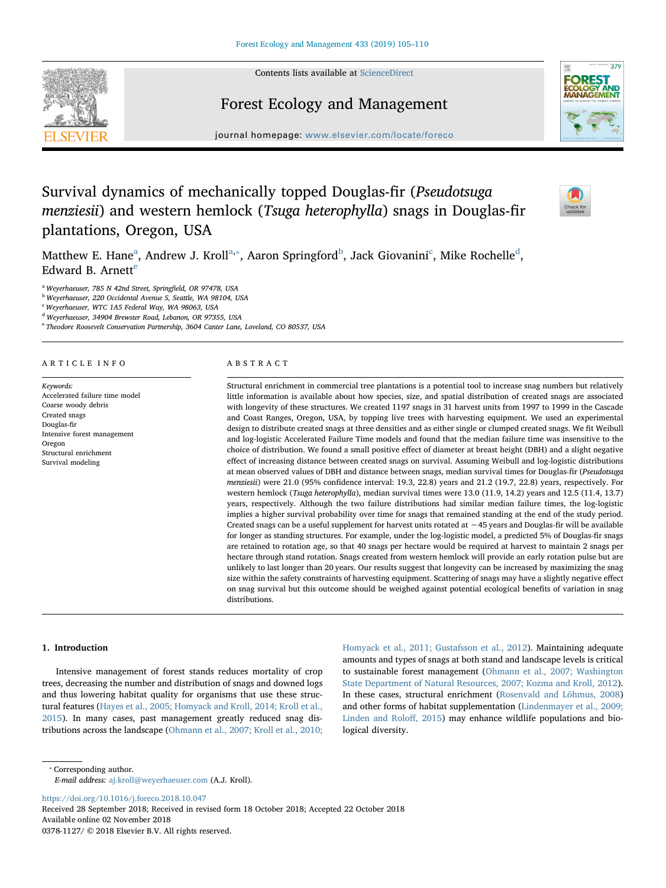Contents lists available at [ScienceDirect](http://www.sciencedirect.com/science/journal/03781127)



# Forest Ecology and Management



journal homepage: [www.elsevier.com/locate/foreco](https://www.elsevier.com/locate/foreco)

# Survival dynamics of mechanically topped Douglas-fir (Pseudotsuga menziesii) and western hemlock (Tsuga heterophylla) snags in Douglas-fir plantations, Oregon, USA

 $\sum_{\text{the}}$ 

M[a](#page-0-0)tthew E. Hane $^{\rm a}$ , An[d](#page-0-4)rew J. Kroll $^{\rm a, *}$  $^{\rm a, *}$  $^{\rm a, *}$ , Aaron Springford $^{\rm b}$  $^{\rm b}$  $^{\rm b}$ , Ja[c](#page-0-3)k Giovanini $^{\rm c}$ , Mike Rochelle $^{\rm d}$ , Edward B. Arnett $e$ 

<span id="page-0-0"></span><sup>a</sup> Weyerhaeuser, 785 N 42nd Street, Springfield, OR 97478, USA

<span id="page-0-2"></span><sup>b</sup> Weyerhaeuser, 220 Occidental Avenue S, Seattle, WA 98104, USA

<span id="page-0-3"></span><sup>c</sup> Weyerhaeuser, WTC 1A5 Federal Way, WA 98063, USA

<span id="page-0-4"></span><sup>d</sup> Weyerhaeuser, 34904 Brewster Road, Lebanon, OR 97355, USA

<span id="page-0-5"></span><sup>e</sup> Theodore Roosevelt Conservation Partnership, 3604 Canter Lane, Loveland, CO 80537, USA

# ARTICLE INFO

Keywords: Accelerated failure time model Coarse woody debris Created snags Douglas-fir Intensive forest management Oregon Structural enrichment Survival modeling

# ABSTRACT

Structural enrichment in commercial tree plantations is a potential tool to increase snag numbers but relatively little information is available about how species, size, and spatial distribution of created snags are associated with longevity of these structures. We created 1197 snags in 31 harvest units from 1997 to 1999 in the Cascade and Coast Ranges, Oregon, USA, by topping live trees with harvesting equipment. We used an experimental design to distribute created snags at three densities and as either single or clumped created snags. We fit Weibull and log-logistic Accelerated Failure Time models and found that the median failure time was insensitive to the choice of distribution. We found a small positive effect of diameter at breast height (DBH) and a slight negative effect of increasing distance between created snags on survival. Assuming Weibull and log-logistic distributions at mean observed values of DBH and distance between snags, median survival times for Douglas-fir (Pseudotsuga menziesii) were 21.0 (95% confidence interval: 19.3, 22.8) years and 21.2 (19.7, 22.8) years, respectively. For western hemlock (Tsuga heterophylla), median survival times were 13.0 (11.9, 14.2) years and 12.5 (11.4, 13.7) years, respectively. Although the two failure distributions had similar median failure times, the log-logistic implies a higher survival probability over time for snags that remained standing at the end of the study period. Created snags can be a useful supplement for harvest units rotated at ∼45 years and Douglas-fir will be available for longer as standing structures. For example, under the log-logistic model, a predicted 5% of Douglas-fir snags are retained to rotation age, so that 40 snags per hectare would be required at harvest to maintain 2 snags per hectare through stand rotation. Snags created from western hemlock will provide an early rotation pulse but are unlikely to last longer than 20 years. Our results suggest that longevity can be increased by maximizing the snag size within the safety constraints of harvesting equipment. Scattering of snags may have a slightly negative effect on snag survival but this outcome should be weighed against potential ecological benefits of variation in snag distributions.

# 1. Introduction

Intensive management of forest stands reduces mortality of crop trees, decreasing the number and distribution of snags and downed logs and thus lowering habitat quality for organisms that use these structural features [\(Hayes et al., 2005; Homyack and Kroll, 2014; Kroll et al.,](#page-5-0) [2015\)](#page-5-0). In many cases, past management greatly reduced snag distributions across the landscape ([Ohmann et al., 2007; Kroll et al., 2010;](#page-5-1) [Homyack et al., 2011; Gustafsson et al., 2012\)](#page-5-1). Maintaining adequate amounts and types of snags at both stand and landscape levels is critical to sustainable forest management [\(Ohmann et al., 2007; Washington](#page-5-1) [State Department of Natural Resources, 2007; Kozma and Kroll, 2012](#page-5-1)). In these cases, structural enrichment [\(Rosenvald and Lõhmus, 2008\)](#page-5-2) and other forms of habitat supplementation ([Lindenmayer et al., 2009;](#page-5-3) [Linden and Rolo](#page-5-3)ff, 2015) may enhance wildlife populations and biological diversity.

<https://doi.org/10.1016/j.foreco.2018.10.047> Received 28 September 2018; Received in revised form 18 October 2018; Accepted 22 October 2018 Available online 02 November 2018

0378-1127/ © 2018 Elsevier B.V. All rights reserved.

<span id="page-0-1"></span><sup>⁎</sup> Corresponding author. E-mail address: [aj.kroll@weyerhaeuser.com](mailto:aj.kroll@weyerhaeuser.com) (A.J. Kroll).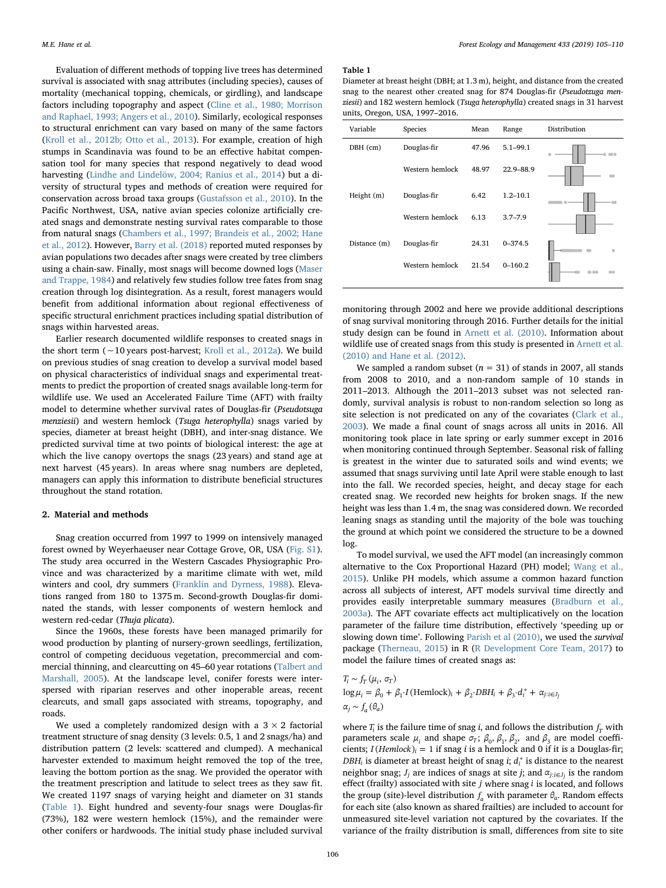Evaluation of different methods of topping live trees has determined survival is associated with snag attributes (including species), causes of mortality (mechanical topping, chemicals, or girdling), and landscape factors including topography and aspect [\(Cline et al., 1980; Morrison](#page-5-4) [and Raphael, 1993; Angers et al., 2010\)](#page-5-4). Similarly, ecological responses to structural enrichment can vary based on many of the same factors ([Kroll et al., 2012b; Otto et al., 2013\)](#page-5-5). For example, creation of high stumps in Scandinavia was found to be an effective habitat compensation tool for many species that respond negatively to dead wood harvesting [\(Lindhe and Lindelöw, 2004; Ranius et al., 2014\)](#page-5-6) but a diversity of structural types and methods of creation were required for conservation across broad taxa groups [\(Gustafsson et al., 2010\)](#page-5-7). In the Pacific Northwest, USA, native avian species colonize artificially created snags and demonstrate nesting survival rates comparable to those from natural snags [\(Chambers et al., 1997; Brandeis et al., 2002; Hane](#page-5-8) [et al., 2012](#page-5-8)). However, [Barry et al. \(2018\)](#page-5-9) reported muted responses by avian populations two decades after snags were created by tree climbers using a chain-saw. Finally, most snags will become downed logs [\(Maser](#page-5-10) [and Trappe, 1984\)](#page-5-10) and relatively few studies follow tree fates from snag creation through log disintegration. As a result, forest managers would benefit from additional information about regional effectiveness of specific structural enrichment practices including spatial distribution of snags within harvested areas.

Earlier research documented wildlife responses to created snags in the short term (∼10 years post-harvest; [Kroll et al., 2012a](#page-5-11)). We build on previous studies of snag creation to develop a survival model based on physical characteristics of individual snags and experimental treatments to predict the proportion of created snags available long-term for wildlife use. We used an Accelerated Failure Time (AFT) with frailty model to determine whether survival rates of Douglas-fir (Pseudotsuga menziesii) and western hemlock (Tsuga heterophylla) snags varied by species, diameter at breast height (DBH), and inter-snag distance. We predicted survival time at two points of biological interest: the age at which the live canopy overtops the snags (23 years) and stand age at next harvest (45 years). In areas where snag numbers are depleted, managers can apply this information to distribute beneficial structures throughout the stand rotation.

## 2. Material and methods

Snag creation occurred from 1997 to 1999 on intensively managed forest owned by Weyerhaeuser near Cottage Grove, OR, USA (Fig. S1). The study area occurred in the Western Cascades Physiographic Province and was characterized by a maritime climate with wet, mild winters and cool, dry summers [\(Franklin and Dyrness, 1988](#page-5-12)). Elevations ranged from 180 to 1375 m. Second-growth Douglas-fir dominated the stands, with lesser components of western hemlock and western red-cedar (Thuja plicata).

Since the 1960s, these forests have been managed primarily for wood production by planting of nursery-grown seedlings, fertilization, control of competing deciduous vegetation, precommercial and commercial thinning, and clearcutting on 45–60 year rotations [\(Talbert and](#page-5-13) [Marshall, 2005\)](#page-5-13). At the landscape level, conifer forests were interspersed with riparian reserves and other inoperable areas, recent clearcuts, and small gaps associated with streams, topography, and roads.

We used a completely randomized design with a  $3 \times 2$  factorial treatment structure of snag density (3 levels: 0.5, 1 and 2 snags/ha) and distribution pattern (2 levels: scattered and clumped). A mechanical harvester extended to maximum height removed the top of the tree, leaving the bottom portion as the snag. We provided the operator with the treatment prescription and latitude to select trees as they saw fit. We created 1197 snags of varying height and diameter on 31 stands ([Table 1](#page-1-0)). Eight hundred and seventy-four snags were Douglas-fir (73%), 182 were western hemlock (15%), and the remainder were other conifers or hardwoods. The initial study phase included survival

#### <span id="page-1-0"></span>Table 1

Diameter at breast height (DBH; at 1.3 m), height, and distance from the created snag to the nearest other created snag for 874 Douglas-fir (Pseudotzuga menziesii) and 182 western hemlock (Tsuga heterophylla) created snags in 31 harvest units, Oregon, USA, 1997–2016.

| Variable     | Species         | Mean  | Range        | Distribution |
|--------------|-----------------|-------|--------------|--------------|
| DBH (cm)     | Douglas-fir     | 47.96 | $5.1 - 99.1$ |              |
|              | Western hemlock | 48.97 | 22.9-88.9    |              |
| Height $(m)$ | Douglas-fir     | 6.42  | $1.2 - 10.1$ |              |
|              | Western hemlock | 6.13  | $3.7 - 7.9$  |              |
| Distance (m) | Douglas-fir     | 24.31 | $0 - 374.5$  |              |
|              | Western hemlock | 21.54 | $0 - 160.2$  | na           |

monitoring through 2002 and here we provide additional descriptions of snag survival monitoring through 2016. Further details for the initial study design can be found in [Arnett et al. \(2010\).](#page-5-14) Information about wildlife use of created snags from this study is presented in [Arnett et al.](#page-5-14) [\(2010\) and Hane et al. \(2012\)](#page-5-14).

We sampled a random subset ( $n = 31$ ) of stands in 2007, all stands from 2008 to 2010, and a non-random sample of 10 stands in 2011–2013. Although the 2011–2013 subset was not selected randomly, survival analysis is robust to non-random selection so long as site selection is not predicated on any of the covariates ([Clark et al.,](#page-5-15) [2003\)](#page-5-15). We made a final count of snags across all units in 2016. All monitoring took place in late spring or early summer except in 2016 when monitoring continued through September. Seasonal risk of falling is greatest in the winter due to saturated soils and wind events; we assumed that snags surviving until late April were stable enough to last into the fall. We recorded species, height, and decay stage for each created snag. We recorded new heights for broken snags. If the new height was less than 1.4 m, the snag was considered down. We recorded leaning snags as standing until the majority of the bole was touching the ground at which point we considered the structure to be a downed log.

To model survival, we used the AFT model (an increasingly common alternative to the Cox Proportional Hazard (PH) model; [Wang et al.,](#page-5-16) [2015\)](#page-5-16). Unlike PH models, which assume a common hazard function across all subjects of interest, AFT models survival time directly and provides easily interpretable summary measures ([Bradburn et al.,](#page-5-17) [2003a\)](#page-5-17). The AFT covariate effects act multiplicatively on the location parameter of the failure time distribution, effectively 'speeding up or slowing down time'. Following [Parish et al \(2010\)](#page-5-18), we used the survival package [\(Therneau, 2015\)](#page-5-19) in R ([R Development Core Team, 2017\)](#page-5-20) to model the failure times of created snags as:

 $T_i \sim f_T(\mu_i, \sigma_T)$  $\log \mu_i = \beta_0 + \beta_1 I$  (Hemlock)<sub>*i*</sub> +  $\beta_2$ ·DBH<sub>*i*</sub> +  $\beta_3$ · $d_i^*$  +  $\alpha_{j:i \in J_j}$  $\alpha_j \sim f_a(\theta_a)$ 

where  $T_i$  is the failure time of snag *i*, and follows the distribution  $f_T$  with parameters scale  $\mu_i$  and shape  $\sigma_T$ ;  $\beta_0$ ,  $\beta_1$ ,  $\beta_2$ , and  $\beta_3$  are model coefficients;  $I($ *Hemlock* $)$ <sub>*i*</sub> = 1 if snag *i* is a hemlock and 0 if it is a Douglas-fir;  $DBH_i$  is diameter at breast height of snag *i*;  $d_i^*$  is distance to the nearest neighbor snag;  $J_i$  are indices of snags at site *j*; and  $\alpha_{i:i\in J_i}$  is the random effect (frailty) associated with site *j* where snag *i* is located, and follows the group (site)-level distribution  $f_a$  with parameter  $\theta_a$ . Random effects for each site (also known as shared frailties) are included to account for unmeasured site-level variation not captured by the covariates. If the variance of the frailty distribution is small, differences from site to site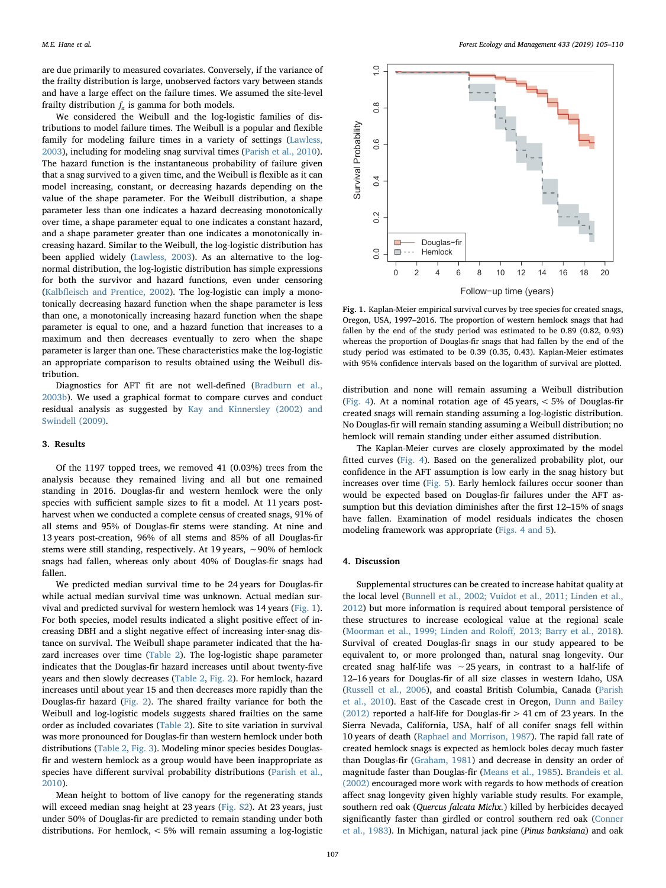are due primarily to measured covariates. Conversely, if the variance of the frailty distribution is large, unobserved factors vary between stands and have a large effect on the failure times. We assumed the site-level frailty distribution  $f_a$  is gamma for both models.

We considered the Weibull and the log-logistic families of distributions to model failure times. The Weibull is a popular and flexible family for modeling failure times in a variety of settings [\(Lawless,](#page-5-21) [2003\)](#page-5-21), including for modeling snag survival times [\(Parish et al., 2010](#page-5-18)). The hazard function is the instantaneous probability of failure given that a snag survived to a given time, and the Weibull is flexible as it can model increasing, constant, or decreasing hazards depending on the value of the shape parameter. For the Weibull distribution, a shape parameter less than one indicates a hazard decreasing monotonically over time, a shape parameter equal to one indicates a constant hazard, and a shape parameter greater than one indicates a monotonically increasing hazard. Similar to the Weibull, the log-logistic distribution has been applied widely ([Lawless, 2003](#page-5-21)). As an alternative to the lognormal distribution, the log-logistic distribution has simple expressions for both the survivor and hazard functions, even under censoring (Kalbfl[eisch and Prentice, 2002\)](#page-5-22). The log-logistic can imply a monotonically decreasing hazard function when the shape parameter is less than one, a monotonically increasing hazard function when the shape parameter is equal to one, and a hazard function that increases to a maximum and then decreases eventually to zero when the shape parameter is larger than one. These characteristics make the log-logistic an appropriate comparison to results obtained using the Weibull distribution.

Diagnostics for AFT fit are not well-defined ([Bradburn et al.,](#page-5-23) [2003b\)](#page-5-23). We used a graphical format to compare curves and conduct residual analysis as suggested by [Kay and Kinnersley \(2002\) and](#page-5-24) [Swindell \(2009\).](#page-5-24)

### 3. Results

Of the 1197 topped trees, we removed 41 (0.03%) trees from the analysis because they remained living and all but one remained standing in 2016. Douglas-fir and western hemlock were the only species with sufficient sample sizes to fit a model. At 11 years postharvest when we conducted a complete census of created snags, 91% of all stems and 95% of Douglas-fir stems were standing. At nine and 13 years post-creation, 96% of all stems and 85% of all Douglas-fir stems were still standing, respectively. At 19 years, ∼90% of hemlock snags had fallen, whereas only about 40% of Douglas-fir snags had fallen.

We predicted median survival time to be 24 years for Douglas-fir while actual median survival time was unknown. Actual median survival and predicted survival for western hemlock was 14 years [\(Fig. 1](#page-2-0)). For both species, model results indicated a slight positive effect of increasing DBH and a slight negative effect of increasing inter-snag distance on survival. The Weibull shape parameter indicated that the hazard increases over time [\(Table 2](#page-3-0)). The log-logistic shape parameter indicates that the Douglas-fir hazard increases until about twenty-five years and then slowly decreases ([Table 2](#page-3-0), [Fig. 2](#page-3-1)). For hemlock, hazard increases until about year 15 and then decreases more rapidly than the Douglas-fir hazard ([Fig. 2](#page-3-1)). The shared frailty variance for both the Weibull and log-logistic models suggests shared frailties on the same order as included covariates ([Table 2](#page-3-0)). Site to site variation in survival was more pronounced for Douglas-fir than western hemlock under both distributions [\(Table 2](#page-3-0), [Fig. 3](#page-3-2)). Modeling minor species besides Douglasfir and western hemlock as a group would have been inappropriate as species have different survival probability distributions ([Parish et al.,](#page-5-18) [2010\)](#page-5-18).

Mean height to bottom of live canopy for the regenerating stands will exceed median snag height at 23 years (Fig. S2). At 23 years, just under 50% of Douglas-fir are predicted to remain standing under both distributions. For hemlock, < 5% will remain assuming a log-logistic

<span id="page-2-0"></span>

Fig. 1. Kaplan-Meier empirical survival curves by tree species for created snags, Oregon, USA, 1997–2016. The proportion of western hemlock snags that had fallen by the end of the study period was estimated to be 0.89 (0.82, 0.93) whereas the proportion of Douglas-fir snags that had fallen by the end of the study period was estimated to be 0.39 (0.35, 0.43). Kaplan-Meier estimates with 95% confidence intervals based on the logarithm of survival are plotted.

distribution and none will remain assuming a Weibull distribution ([Fig. 4\)](#page-4-0). At a nominal rotation age of 45 years, < 5% of Douglas-fir created snags will remain standing assuming a log-logistic distribution. No Douglas-fir will remain standing assuming a Weibull distribution; no hemlock will remain standing under either assumed distribution.

The Kaplan-Meier curves are closely approximated by the model fitted curves [\(Fig. 4](#page-4-0)). Based on the generalized probability plot, our confidence in the AFT assumption is low early in the snag history but increases over time ([Fig. 5](#page-4-1)). Early hemlock failures occur sooner than would be expected based on Douglas-fir failures under the AFT assumption but this deviation diminishes after the first 12–15% of snags have fallen. Examination of model residuals indicates the chosen modeling framework was appropriate [\(Figs. 4 and 5](#page-4-0)).

#### 4. Discussion

Supplemental structures can be created to increase habitat quality at the local level ([Bunnell et al., 2002; Vuidot et al., 2011; Linden et al.,](#page-5-25) [2012\)](#page-5-25) but more information is required about temporal persistence of these structures to increase ecological value at the regional scale ([Moorman et al., 1999; Linden and Rolo](#page-5-26)ff, 2013; Barry et al., 2018). Survival of created Douglas-fir snags in our study appeared to be equivalent to, or more prolonged than, natural snag longevity. Our created snag half-life was ∼25 years, in contrast to a half-life of 12–16 years for Douglas-fir of all size classes in western Idaho, USA ([Russell et al., 2006](#page-5-27)), and coastal British Columbia, Canada ([Parish](#page-5-18) [et al., 2010](#page-5-18)). East of the Cascade crest in Oregon, [Dunn and Bailey](#page-5-28) [\(2012\)](#page-5-28) reported a half-life for Douglas-fir > 41 cm of 23 years. In the Sierra Nevada, California, USA, half of all conifer snags fell within 10 years of death [\(Raphael and Morrison, 1987](#page-5-29)). The rapid fall rate of created hemlock snags is expected as hemlock boles decay much faster than Douglas-fir ([Graham, 1981](#page-5-30)) and decrease in density an order of magnitude faster than Douglas-fir [\(Means et al., 1985\)](#page-5-31). [Brandeis et al.](#page-5-32) [\(2002\)](#page-5-32) encouraged more work with regards to how methods of creation affect snag longevity given highly variable study results. For example, southern red oak (Quercus falcata Michx.) killed by herbicides decayed significantly faster than girdled or control southern red oak [\(Conner](#page-5-33) [et al., 1983](#page-5-33)). In Michigan, natural jack pine (Pinus banksiana) and oak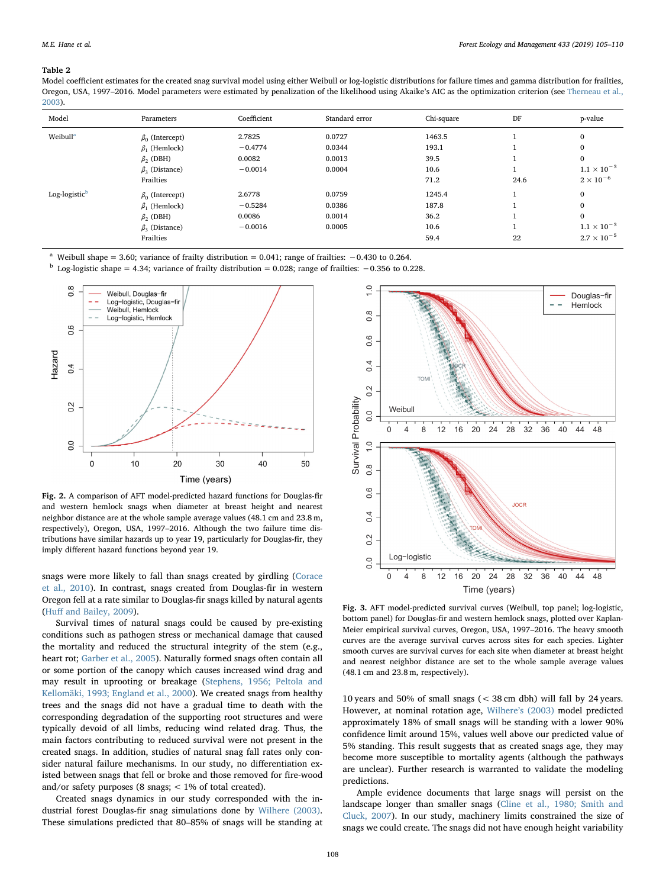#### <span id="page-3-0"></span>Table 2

Model coefficient estimates for the created snag survival model using either Weibull or log-logistic distributions for failure times and gamma distribution for frailties, Oregon, USA, 1997–2016. Model parameters were estimated by penalization of the likelihood using Akaike's AIC as the optimization criterion (see [Therneau et al.,](#page-5-39) [2003\)](#page-5-39).

| Model                     | Parameters                 | Coefficient | Standard error | Chi-square | DF   | p-value              |
|---------------------------|----------------------------|-------------|----------------|------------|------|----------------------|
| Weibull <sup>a</sup>      | $\beta_0$ (Intercept)      | 2.7825      | 0.0727         | 1463.5     |      | $\mathbf{0}$         |
|                           | $\beta_1$ (Hemlock)        | $-0.4774$   | 0.0344         | 193.1      |      | $\mathbf{0}$         |
|                           | $\beta$ <sub>2</sub> (DBH) | 0.0082      | 0.0013         | 39.5       |      | $\mathbf{0}$         |
|                           | $\beta_3$ (Distance)       | $-0.0014$   | 0.0004         | 10.6       |      | $1.1 \times 10^{-3}$ |
|                           | Frailties                  |             |                | 71.2       | 24.6 | $2 \times 10^{-6}$   |
| Log-logistic <sup>b</sup> | $\beta_0$ (Intercept)      | 2.6778      | 0.0759         | 1245.4     |      | $\mathbf{0}$         |
|                           | $\beta_1$ (Hemlock)        | $-0.5284$   | 0.0386         | 187.8      |      | $\mathbf{0}$         |
|                           | $\beta$ <sub>2</sub> (DBH) | 0.0086      | 0.0014         | 36.2       |      | $\bf{0}$             |
|                           | $\beta_3$ (Distance)       | $-0.0016$   | 0.0005         | 10.6       |      | $1.1 \times 10^{-3}$ |
|                           | Frailties                  |             |                | 59.4       | 22   | $2.7 \times 10^{-5}$ |

<span id="page-3-3"></span>Weibull shape = 3.60; variance of frailty distribution =  $0.041$ ; range of frailties:  $-0.430$  to 0.264.

<span id="page-3-4"></span><sup>b</sup> Log-logistic shape = 4.34; variance of frailty distribution = 0.028; range of frailties:  $-0.356$  to 0.228.

<span id="page-3-1"></span>

Fig. 2. A comparison of AFT model-predicted hazard functions for Douglas-fir and western hemlock snags when diameter at breast height and nearest neighbor distance are at the whole sample average values (48.1 cm and 23.8 m, respectively), Oregon, USA, 1997–2016. Although the two failure time distributions have similar hazards up to year 19, particularly for Douglas-fir, they imply different hazard functions beyond year 19.

snags were more likely to fall than snags created by girdling ([Corace](#page-5-34) [et al., 2010\)](#page-5-34). In contrast, snags created from Douglas-fir in western Oregon fell at a rate similar to Douglas-fir snags killed by natural agents (Huff [and Bailey, 2009](#page-5-35)).

Survival times of natural snags could be caused by pre-existing conditions such as pathogen stress or mechanical damage that caused the mortality and reduced the structural integrity of the stem (e.g., heart rot; [Garber et al., 2005](#page-5-36)). Naturally formed snags often contain all or some portion of the canopy which causes increased wind drag and may result in uprooting or breakage ([Stephens, 1956; Peltola and](#page-5-37) [Kellomäki, 1993; England et al., 2000\)](#page-5-37). We created snags from healthy trees and the snags did not have a gradual time to death with the corresponding degradation of the supporting root structures and were typically devoid of all limbs, reducing wind related drag. Thus, the main factors contributing to reduced survival were not present in the created snags. In addition, studies of natural snag fall rates only consider natural failure mechanisms. In our study, no differentiation existed between snags that fell or broke and those removed for fire-wood and/or safety purposes (8 snags; < 1% of total created).

Created snags dynamics in our study corresponded with the industrial forest Douglas-fir snag simulations done by [Wilhere \(2003\)](#page-5-38). These simulations predicted that 80–85% of snags will be standing at

<span id="page-3-2"></span>

Fig. 3. AFT model-predicted survival curves (Weibull, top panel; log-logistic, bottom panel) for Douglas-fir and western hemlock snags, plotted over Kaplan-Meier empirical survival curves, Oregon, USA, 1997–2016. The heavy smooth curves are the average survival curves across sites for each species. Lighter smooth curves are survival curves for each site when diameter at breast height and nearest neighbor distance are set to the whole sample average values (48.1 cm and 23.8 m, respectively).

10 years and 50% of small snags (< 38 cm dbh) will fall by 24 years. However, at nominal rotation age, Wilhere'[s \(2003\)](#page-5-38) model predicted approximately 18% of small snags will be standing with a lower 90% confidence limit around 15%, values well above our predicted value of 5% standing. This result suggests that as created snags age, they may become more susceptible to mortality agents (although the pathways are unclear). Further research is warranted to validate the modeling predictions.

Ample evidence documents that large snags will persist on the landscape longer than smaller snags ([Cline et al., 1980; Smith and](#page-5-4) [Cluck, 2007](#page-5-4)). In our study, machinery limits constrained the size of snags we could create. The snags did not have enough height variability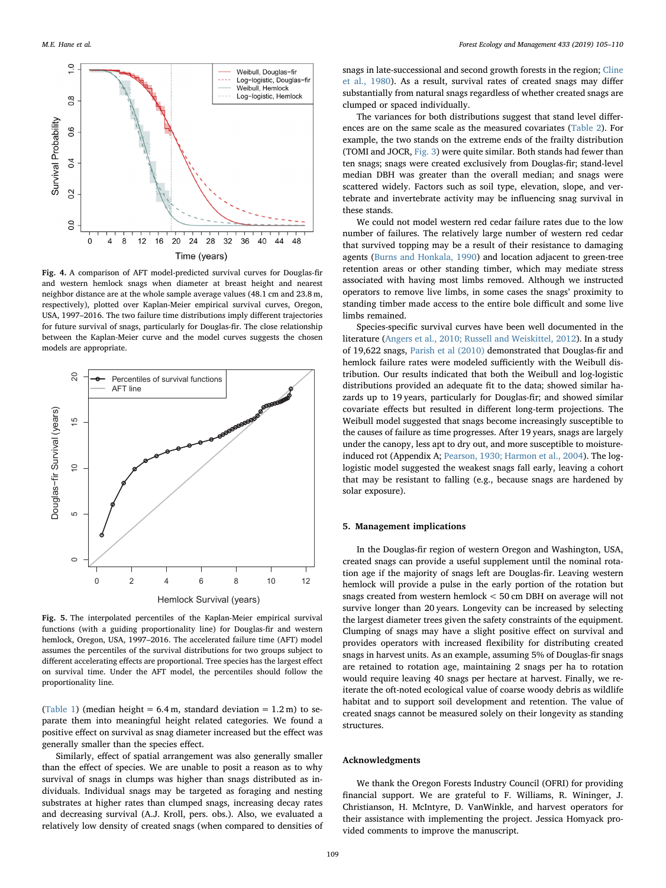<span id="page-4-0"></span>

Fig. 4. A comparison of AFT model-predicted survival curves for Douglas-fir and western hemlock snags when diameter at breast height and nearest neighbor distance are at the whole sample average values (48.1 cm and 23.8 m, respectively), plotted over Kaplan-Meier empirical survival curves, Oregon, USA, 1997–2016. The two failure time distributions imply different trajectories for future survival of snags, particularly for Douglas-fir. The close relationship between the Kaplan-Meier curve and the model curves suggests the chosen models are appropriate.

<span id="page-4-1"></span>

Fig. 5. The interpolated percentiles of the Kaplan-Meier empirical survival functions (with a guiding proportionality line) for Douglas-fir and western hemlock, Oregon, USA, 1997–2016. The accelerated failure time (AFT) model assumes the percentiles of the survival distributions for two groups subject to different accelerating effects are proportional. Tree species has the largest effect on survival time. Under the AFT model, the percentiles should follow the proportionality line.

([Table 1\)](#page-1-0) (median height =  $6.4$  m, standard deviation =  $1.2$  m) to separate them into meaningful height related categories. We found a positive effect on survival as snag diameter increased but the effect was generally smaller than the species effect.

Similarly, effect of spatial arrangement was also generally smaller than the effect of species. We are unable to posit a reason as to why survival of snags in clumps was higher than snags distributed as individuals. Individual snags may be targeted as foraging and nesting substrates at higher rates than clumped snags, increasing decay rates and decreasing survival (A.J. Kroll, pers. obs.). Also, we evaluated a relatively low density of created snags (when compared to densities of snags in late-successional and second growth forests in the region; [Cline](#page-5-4) [et al., 1980](#page-5-4)). As a result, survival rates of created snags may differ substantially from natural snags regardless of whether created snags are clumped or spaced individually.

The variances for both distributions suggest that stand level differences are on the same scale as the measured covariates [\(Table 2\)](#page-3-0). For example, the two stands on the extreme ends of the frailty distribution (TOMI and JOCR, [Fig. 3](#page-3-2)) were quite similar. Both stands had fewer than ten snags; snags were created exclusively from Douglas-fir; stand-level median DBH was greater than the overall median; and snags were scattered widely. Factors such as soil type, elevation, slope, and vertebrate and invertebrate activity may be influencing snag survival in these stands.

We could not model western red cedar failure rates due to the low number of failures. The relatively large number of western red cedar that survived topping may be a result of their resistance to damaging agents ([Burns and Honkala, 1990](#page-5-40)) and location adjacent to green-tree retention areas or other standing timber, which may mediate stress associated with having most limbs removed. Although we instructed operators to remove live limbs, in some cases the snags' proximity to standing timber made access to the entire bole difficult and some live limbs remained.

Species-specific survival curves have been well documented in the literature ([Angers et al., 2010; Russell and Weiskittel, 2012](#page-5-41)). In a study of 19,622 snags, [Parish et al \(2010\)](#page-5-18) demonstrated that Douglas-fir and hemlock failure rates were modeled sufficiently with the Weibull distribution. Our results indicated that both the Weibull and log-logistic distributions provided an adequate fit to the data; showed similar hazards up to 19 years, particularly for Douglas-fir; and showed similar covariate effects but resulted in different long-term projections. The Weibull model suggested that snags become increasingly susceptible to the causes of failure as time progresses. After 19 years, snags are largely under the canopy, less apt to dry out, and more susceptible to moistureinduced rot (Appendix A; [Pearson, 1930; Harmon et al., 2004\)](#page-5-42). The loglogistic model suggested the weakest snags fall early, leaving a cohort that may be resistant to falling (e.g., because snags are hardened by solar exposure).

#### 5. Management implications

In the Douglas-fir region of western Oregon and Washington, USA, created snags can provide a useful supplement until the nominal rotation age if the majority of snags left are Douglas-fir. Leaving western hemlock will provide a pulse in the early portion of the rotation but snags created from western hemlock < 50 cm DBH on average will not survive longer than 20 years. Longevity can be increased by selecting the largest diameter trees given the safety constraints of the equipment. Clumping of snags may have a slight positive effect on survival and provides operators with increased flexibility for distributing created snags in harvest units. As an example, assuming 5% of Douglas-fir snags are retained to rotation age, maintaining 2 snags per ha to rotation would require leaving 40 snags per hectare at harvest. Finally, we reiterate the oft-noted ecological value of coarse woody debris as wildlife habitat and to support soil development and retention. The value of created snags cannot be measured solely on their longevity as standing structures.

# Acknowledgments

We thank the Oregon Forests Industry Council (OFRI) for providing financial support. We are grateful to F. Williams, R. Wininger, J. Christianson, H. McIntyre, D. VanWinkle, and harvest operators for their assistance with implementing the project. Jessica Homyack provided comments to improve the manuscript.